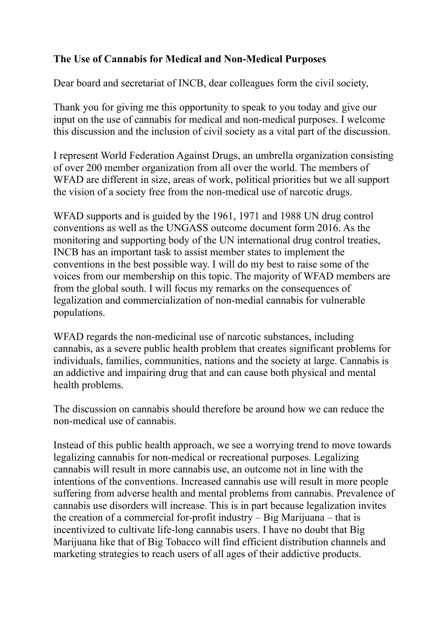## **The Use of Cannabis for Medical and Non-Medical Purposes**

Dear board and secretariat of INCB, dear colleagues form the civil society,

Thank you for giving me this opportunity to speak to you today and give our input on the use of cannabis for medical and non-medical purposes. I welcome this discussion and the inclusion of civil society as a vital part of the discussion.

I represent World Federation Against Drugs, an umbrella organization consisting of over 200 member organization from all over the world. The members of WFAD are different in size, areas of work, political priorities but we all support the vision of a society free from the non-medical use of narcotic drugs.

WFAD supports and is guided by the 1961, 1971 and 1988 UN drug control conventions as well as the UNGASS outcome document form 2016. As the monitoring and supporting body of the UN international drug control treaties, INCB has an important task to assist member states to implement the conventions in the best possible way. I will do my best to raise some of the voices from our membership on this topic. The majority of WFAD members are from the global south. I will focus my remarks on the consequences of legalization and commercialization of non-medial cannabis for vulnerable populations.

WFAD regards the non-medicinal use of narcotic substances, including cannabis, as a severe public health problem that creates significant problems for individuals, families, communities, nations and the society at large. Cannabis is an addictive and impairing drug that and can cause both physical and mental health problems.

The discussion on cannabis should therefore be around how we can reduce the non-medical use of cannabis.

Instead of this public health approach, we see a worrying trend to move towards legalizing cannabis for non-medical or recreational purposes. Legalizing cannabis will result in more cannabis use, an outcome not in line with the intentions of the conventions. Increased cannabis use will result in more people suffering from adverse health and mental problems from cannabis. Prevalence of cannabis use disorders will increase. This is in part because legalization invites the creation of a commercial for-profit industry – Big Marijuana – that is incentivized to cultivate life-long cannabis users. I have no doubt that Big Marijuana like that of Big Tobacco will find efficient distribution channels and marketing strategies to reach users of all ages of their addictive products.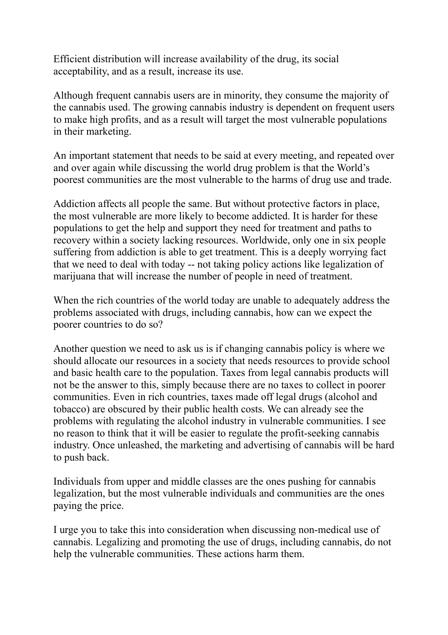Efficient distribution will increase availability of the drug, its social acceptability, and as a result, increase its use.

Although frequent cannabis users are in minority, they consume the majority of the cannabis used. The growing cannabis industry is dependent on frequent users to make high profits, and as a result will target the most vulnerable populations in their marketing.

An important statement that needs to be said at every meeting, and repeated over and over again while discussing the world drug problem is that the World's poorest communities are the most vulnerable to the harms of drug use and trade.

Addiction affects all people the same. But without protective factors in place, the most vulnerable are more likely to become addicted. It is harder for these populations to get the help and support they need for treatment and paths to recovery within a society lacking resources. Worldwide, only one in six people suffering from addiction is able to get treatment. This is a deeply worrying fact that we need to deal with today -- not taking policy actions like legalization of marijuana that will increase the number of people in need of treatment.

When the rich countries of the world today are unable to adequately address the problems associated with drugs, including cannabis, how can we expect the poorer countries to do so?

Another question we need to ask us is if changing cannabis policy is where we should allocate our resources in a society that needs resources to provide school and basic health care to the population. Taxes from legal cannabis products will not be the answer to this, simply because there are no taxes to collect in poorer communities. Even in rich countries, taxes made off legal drugs (alcohol and tobacco) are obscured by their public health costs. We can already see the problems with regulating the alcohol industry in vulnerable communities. I see no reason to think that it will be easier to regulate the profit-seeking cannabis industry. Once unleashed, the marketing and advertising of cannabis will be hard to push back.

Individuals from upper and middle classes are the ones pushing for cannabis legalization, but the most vulnerable individuals and communities are the ones paying the price.

I urge you to take this into consideration when discussing non-medical use of cannabis. Legalizing and promoting the use of drugs, including cannabis, do not help the vulnerable communities. These actions harm them.